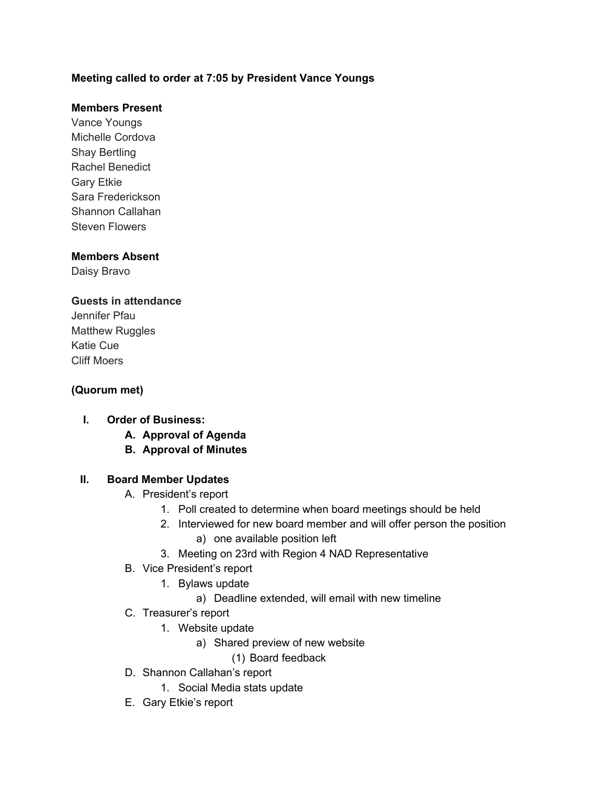### **Meeting called to order at 7:05 by President Vance Youngs**

### **Members Present**

Vance Youngs Michelle Cordova Shay Bertling Rachel Benedict Gary Etkie Sara Frederickson Shannon Callahan Steven Flowers

### **Members Absent**

Daisy Bravo

#### **Guests in attendance**

Jennifer Pfau Matthew Ruggles Katie Cue Cliff Moers

### **(Quorum met)**

### **I. Order of Business:**

- **A. Approval of Agenda**
- **B. Approval of Minutes**

#### **II. Board Member Updates**

- A. President's report
	- 1. Poll created to determine when board meetings should be held
	- 2. Interviewed for new board member and will offer person the position
		- a) one available position left
	- 3. Meeting on 23rd with Region 4 NAD Representative
- B. Vice President's report
	- 1. Bylaws update
		- a) Deadline extended, will email with new timeline
- C. Treasurer's report
	- 1. Website update
		- a) Shared preview of new website
			- (1) Board feedback
- D. Shannon Callahan's report
	- 1. Social Media stats update
- E. Gary Etkie's report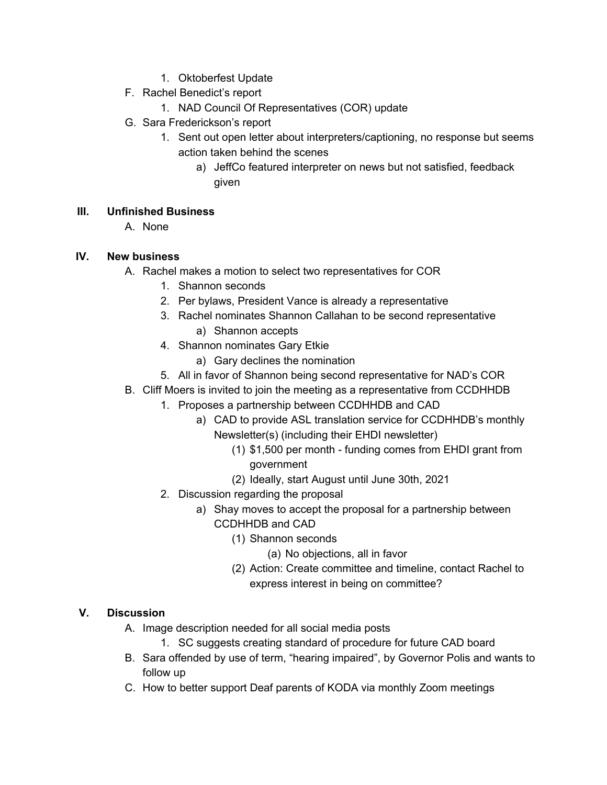- 1. Oktoberfest Update
- F. Rachel Benedict's report
	- 1. NAD Council Of Representatives (COR) update
- G. Sara Frederickson's report
	- 1. Sent out open letter about interpreters/captioning, no response but seems action taken behind the scenes
		- a) JeffCo featured interpreter on news but not satisfied, feedback given

# **III. Unfinished Business**

A. None

# **IV. New business**

- A. Rachel makes a motion to select two representatives for COR
	- 1. Shannon seconds
	- 2. Per bylaws, President Vance is already a representative
	- 3. Rachel nominates Shannon Callahan to be second representative a) Shannon accepts
	- 4. Shannon nominates Gary Etkie
		- a) Gary declines the nomination
	- 5. All in favor of Shannon being second representative for NAD's COR
- B. Cliff Moers is invited to join the meeting as a representative from CCDHHDB
	- 1. Proposes a partnership between CCDHHDB and CAD
		- a) CAD to provide ASL translation service for CCDHHDB's monthly Newsletter(s) (including their EHDI newsletter)
			- (1) \$1,500 per month funding comes from EHDI grant from government
			- (2) Ideally, start August until June 30th, 2021
		- 2. Discussion regarding the proposal
			- a) Shay moves to accept the proposal for a partnership between CCDHHDB and CAD
				- (1) Shannon seconds
					- (a) No objections, all in favor
				- (2) Action: Create committee and timeline, contact Rachel to express interest in being on committee?

# **V. Discussion**

- A. Image description needed for all social media posts
	- 1. SC suggests creating standard of procedure for future CAD board
- B. Sara offended by use of term, "hearing impaired", by Governor Polis and wants to follow up
- C. How to better support Deaf parents of KODA via monthly Zoom meetings